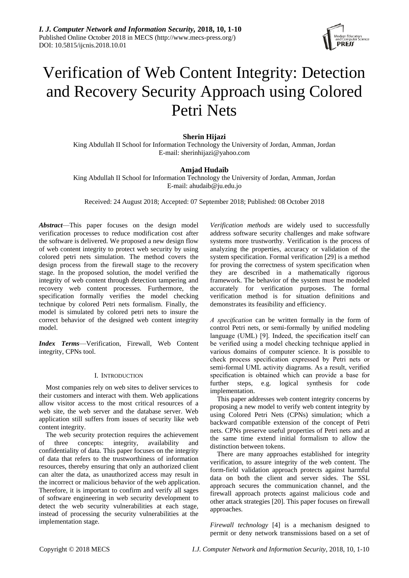

# Verification of Web Content Integrity: Detection and Recovery Security Approach using Colored Petri Nets

# **Sherin Hijazi**

King Abdullah II School for Information Technology the University of Jordan, Amman, Jordan E-mail: [sherinhijazi@yahoo.com](mailto:sherinhijazi@yahoo.com)

# **Amjad Hudaib**

King Abdullah II School for Information Technology the University of Jordan, Amman, Jordan E-mail: ahudaib@ju.edu.jo

Received: 24 August 2018; Accepted: 07 September 2018; Published: 08 October 2018

*Abstract*—This paper focuses on the design model verification processes to reduce modification cost after the software is delivered. We proposed a new design flow of web content integrity to protect web security by using colored petri nets simulation. The method covers the design process from the firewall stage to the recovery stage. In the proposed solution, the model verified the integrity of web content through detection tampering and recovery web content processes. Furthermore, the specification formally verifies the model checking technique by colored Petri nets formalism. Finally, the model is simulated by colored petri nets to insure the correct behavior of the designed web content integrity model.

*Index Terms*—Verification, Firewall, Web Content integrity, CPNs tool.

## I. INTRODUCTION

Most companies rely on web sites to deliver services to their customers and interact with them. Web applications allow visitor access to the most critical resources of a web site, the web server and the database server. Web application still suffers from issues of security like web content integrity.

The web security protection requires the achievement of three concepts: integrity, availability and confidentiality of data. This paper focuses on the integrity of data that refers to the trustworthiness of information resources, thereby ensuring that only an authorized client can alter the data, as unauthorized access may result in the incorrect or malicious behavior of the web application. Therefore, it is important to confirm and verify all sages of software engineering in web security development to detect the web security vulnerabilities at each stage, instead of processing the security vulnerabilities at the implementation stage.

*Verification methods* are widely used to successfully address software security challenges and make software systems more trustworthy. Verification is the process of analyzing the properties, accuracy or validation of the system specification. Formal verification [29] is a method for proving the correctness of system specification when they are described in a mathematically rigorous framework. The behavior of the system must be modeled accurately for verification purposes. The formal verification method is for situation definitions and demonstrates its feasibility and efficiency.

*A specification* can be written formally in the form of control Petri nets, or semi-formally by unified modeling language (UML) [9]. Indeed, the specification itself can be verified using a model checking technique applied in various domains of computer science. It is possible to check process specification expressed by Petri nets or semi-formal UML activity diagrams. As a result, verified specification is obtained which can provide a base for further steps, e.g. logical synthesis for code implementation.

This paper addresses web content integrity concerns by proposing a new model to verify web content integrity by using Colored Petri Nets (CPNs) simulation; which a backward compatible extension of the concept of [Petri](https://en.wikipedia.org/wiki/Petri_net)  [nets.](https://en.wikipedia.org/wiki/Petri_net) CPNs preserve useful properties of Petri nets and at the same time extend initial formalism to allow the distinction between tokens.

There are many approaches established for integrity verification, to assure integrity of the web content. The form-field validation approach protects against harmful data on both the client and server sides. The SSL approach secures the communication channel, and the firewall approach protects against malicious code and other attack strategies [20]. This paper focuses on firewall approaches.

*Firewall technology* [4] is a mechanism designed to permit or deny network transmissions based on a set of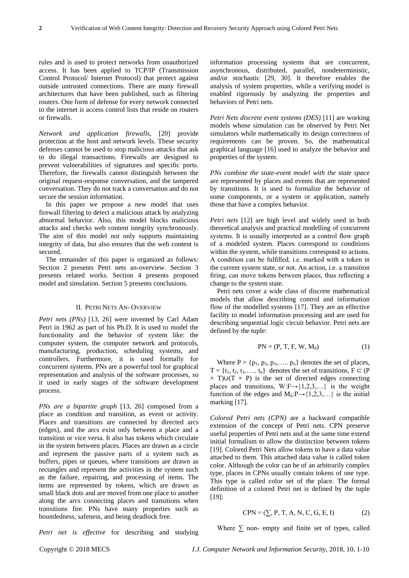rules and is used to protect networks from unauthorized access. It has been applied to TCP/IP (Transmission Control Protocol/ Internet Protocol) that protect against outside untrusted connections. There are many firewall architectures that have been published, such as filtering routers. One form of defense for every network connected to the internet is access control lists that reside on routers or firewalls.

*Network and application firewalls*, [20] provide protection at the host and network levels. These security defenses cannot be used to stop malicious attacks that ask to do illegal transactions. Firewalls are designed to prevent vulnerabilities of signatures and specific ports. Therefore, the firewalls cannot distinguish between the original request-response conversation, and the tampered conversation. They do not track a conversation and do not secure the session information.

In this paper we propose a new model that uses firewall filtering to detect a malicious attack by analyzing abnormal behavior. Also, this model blocks malicious attacks and checks web content integrity synchronously. The aim of this model not only supports maintaining integrity of data, but also ensures that the web content is secured.

The remainder of this paper is organized as follows: Section 2 presents Petri nets an-overview. Section 3 presents related works. Section 4 presents proposed model and simulation. Section 5 presents conclusions.

#### II. PETRI NETS AN- OVERVIEW

*Petri nets (PNs)* [13, 26] were invented by Carl Adam Petri in 1962 as part of his Ph.D. It is used to model the functionality and the behavior of system like: the computer system, the computer network and protocols, manufacturing, production, scheduling systems, and controllers. Furthermore, it is used formally for concurrent systems. PNs are a powerful tool for graphical representation and analysis of the software processes, so it used in early stages of the software development process.

*PNs are a bipartite graph* [13, 26] composed from a place as condition and transition, as event or activity. Places and transitions are connected by directed arcs (edges), and the arcs exist only between a place and a transition or vice versa. It also has tokens which circulate in the system between places. Places are drawn as a circle and represent the passive parts of a system such as buffers, pipes or queues, where transitions are drawn as rectangles and represent the activities in the system such as the failure, repairing, and processing of items. The items are represented by tokens, which are drawn as small black dots and are moved from one place to another along the arcs connecting places and transitions when transitions fire. PNs have many properties such as boundedness, safeness, and being deadlock free.

information processing systems that are concurrent, asynchronous, distributed, parallel, nondeterministic, and/or stochastic [29, 30]. It therefore enables the analysis of system properties, while a verifying model is enabled rigorously by analyzing the properties and behaviors of Petri nets.

*Petri Nets discrete event systems (DES)* [11] are working models whose simulation can be observed by Petri Net simulators while mathematically its design correctness of requirements can be proven. So, the mathematical graphical language [16] used to analyze the behavior and properties of the system.

*PNs combine the state-event model with the state space* are represented by places and events that are represented by transitions. It is used to formalize the behavior of some components, or a system or application, namely those that have a complex behavior.

*Petri net*s [12] are high level and widely used in both theoretical analysis and practical modelling of concurrent systems. It is usually interpreted as a control flow graph of a modeled system. Places correspond to conditions within the system, while transitions correspond to actions. A condition can be fulfilled, i.e. marked with a token in the current system state, or not. An action, i.e. a transition firing, can move tokens between places, thus reflecting a change to the system state.

Petri nets cover a wide class of discrete mathematical models that allow describing control and information flow of the modelled systems [17]. They are an effective facility to model information processing and are used for describing sequential logic circuit behavior. Petri nets are defined by the tuple:

$$
PN = (P, T, F, W, M_0)
$$
 (1)

Where  $P = \{p_1, p_2, p_3, \dots, p_n\}$  denotes the set of places,  $T = \{t_1, t_2, t_3, \dots, t_n\}$  denotes the set of transitions,  $F \subset (P)$  $\times$  T)∪(T  $\times$  P) is the set of directed edges connecting places and transitions, W:F $\rightarrow$ {1,2,3,...} is the weight function of the edges and  $M_0: P \rightarrow \{1,2,3,...\}$  is the initial marking [17].

*Colored Petri nets (CPN)* are a backward compatible extension of the concept of [Petri nets.](https://en.wikipedia.org/wiki/Petri_net) CPN preserve useful properties of Petri nets and at the same time extend initial formalism to allow the distinction between tokens [19]. Colored Petri Nets allow tokens to have a data value attached to them. This attached data value is called token color. Although the color can be of an arbitrarily complex type, places in CPNs usually contain tokens of one type. This type is called color set of the place. The formal definition of a colored Petri net is defined by the tuple [19]:

$$
CPN = (\sum, P, T, A, N, C, G, E, I)
$$
 (2)

Where  $\Sigma$  non- empty and finite set of types, called

*Petri net is effective* for describing and studying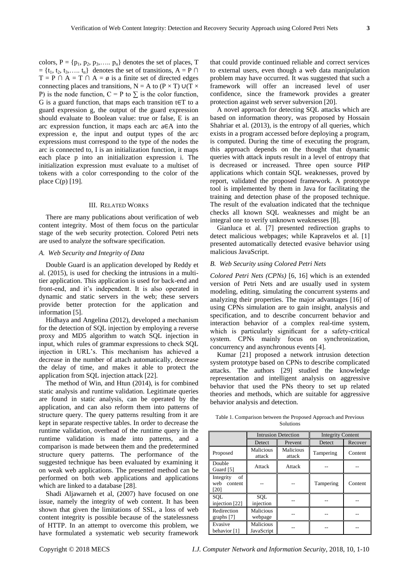colors,  $P = \{p_1, p_2, p_3, \dots, p_n\}$  denotes the set of places, T  $= \{t_1, t_2, t_3, \ldots, t_n\}$  denotes the set of transitions, A = P  $\cap$  $T = P \cap A = T \cap A = \emptyset$  is a finite set of directed edges connecting places and transitions, N = A to (P  $\times$  T) ∪(T  $\times$ P) is the node function,  $C = P$  to  $\Sigma$  is the color function, G is a guard function, that maps each transition t∈T to a guard expression g, the output of the guard expression should evaluate to Boolean value: true or false, E is an arc expression function, it maps each arc a∈A into the expression e, the input and output types of the arc expressions must correspond to the type of the nodes the arc is connected to, I is an initialization function, it maps each place p into an initialization expression i. The initialization expression must evaluate to a multiset of tokens with a color corresponding to the color of the place C(p) [19].

## III. RELATED WORKS

There are many publications about verification of web content integrity. Most of them focus on the particular stage of the web security protection. Colored Petri nets are used to analyze the software specification.

## *A. Web Security and Integrity of Data*

Double Guard is an application developed by Reddy et al. (2015), is used for checking the intrusions in a multitier application. This application is used for back-end and front-end, and it's independent. It is also operated in dynamic and static servers in the web; these servers provide better protection for the application and information [5].

Hidhaya and Angelina (2012), developed a mechanism for the detection of SQL injection by employing a reverse proxy and MD5 algorithm to watch SQL injection in input, which rules of grammar expressions to check SQL injection in URL's. This mechanism has achieved a decrease in the number of attach automatically, decrease the delay of time, and makes it able to protect the application from SQL injection attack [22].

The method of Win, and Htun (2014), is for combined static analysis and runtime validation. Legitimate queries are found in static analysis, can be operated by the application, and can also reform them into patterns of structure query. The query patterns resulting from it are kept in separate respective tables. In order to decrease the runtime validation, overhead of the runtime query in the runtime validation is made into patterns, and a comparison is made between them and the predetermined structure query patterns. The performance of the suggested technique has been evaluated by examining it on weak web applications. The presented method can be performed on both web applications and applications which are linked to a database [28].

Shadi Aljawarneh et al, (2007) have focused on one issue, namely the integrity of web content. It has been shown that given the limitations of SSL, a loss of web content integrity is possible because of the statelessness of HTTP. In an attempt to overcome this problem, we have formulated a systematic web security framework that could provide continued reliable and correct services to external users, even though a web data manipulation problem may have occurred. It was suggested that such a framework will offer an increased level of user confidence, since the framework provides a greater protection against web server subversion [20].

A novel approach for detecting SQL attacks which are based on information theory, was proposed by Hossain Shahriar et al. (2013), is the entropy of all queries, which exists in a program accessed before deploying a program, is computed. During the time of executing the program, this approach depends on the thought that dynamic queries with attack inputs result in a level of entropy that is decreased or increased. Three open source PHP applications which contain SQL weaknesses, proved by report, validated the proposed framework. A prototype tool is implemented by them in Java for facilitating the training and detection phase of the proposed technique. The result of the evaluation indicated that the technique checks all known SQL weaknesses and might be an integral one to verify unknown weaknesses [8].

Gianluca et al. [7] presented redirection graphs to detect malicious webpages; while Kapravelos et al. [1] presented automatically detected evasive behavior using malicious JavaScript.

## *B. Web Security using Colored Petri Nets*

*Colored Petri Nets (CPNs)* [6, 16] which is an extended version of Petri Nets and are usually used in system modeling, editing, simulating the concurrent systems and analyzing their properties. The major advantages [16] of using CPNs simulation are to gain insight, analysis and specification, and to describe concurrent behavior and interaction behavior of a complex real-time system, which is particularly significant for a safety-critical system. CPNs mainly focus on synchronization, concurrency and asynchronous events [4].

Kumar [21] proposed a network intrusion detection system prototype based on CPNs to describe complicated attacks. The authors [29] studied the knowledge representation and intelligent analysis on aggressive behavior that used the PNs theory to set up related theories and methods, which are suitable for aggressive behavior analysis and detection.

| Table 1. Comparison between the Proposed Approach and Previous |
|----------------------------------------------------------------|
| Solutions                                                      |

|                                           | <b>Intrusion Detection</b> |                     | <b>Integrity Content</b> |         |
|-------------------------------------------|----------------------------|---------------------|--------------------------|---------|
|                                           | Detect                     | Prevent             | Detect                   | Recover |
| Proposed                                  | Malicious<br>attack        | Malicious<br>attack | Tampering                | Content |
| Double<br>Guard [5]                       | Attack                     | Attack              |                          |         |
| of<br>Integrity<br>web<br>content<br>[20] |                            |                     | Tampering                | Content |
| <b>SOL</b><br>injection [22]              | <b>SOL</b><br>injection    |                     |                          |         |
| Redirection<br>graphs [7]                 | Malicious<br>webpage       |                     |                          |         |
| Evasive<br>behavior [1]                   | Malicious<br>JavaScript    |                     |                          |         |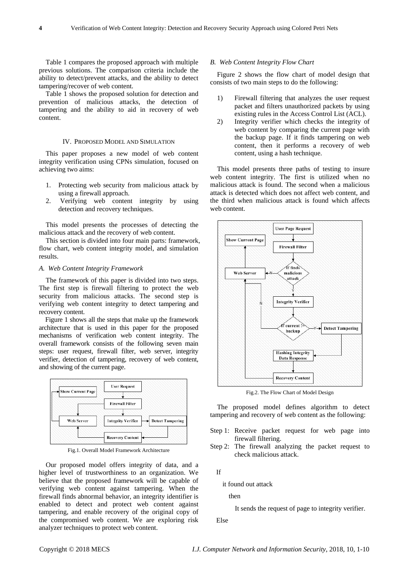Table 1 compares the proposed approach with multiple previous solutions. The comparison criteria include the ability to detect/prevent attacks, and the ability to detect tampering/recover of web content.

Table 1 shows the proposed solution for detection and prevention of malicious attacks, the detection of tampering and the ability to aid in recovery of web content.

# IV. PROPOSED MODEL AND SIMULATION

This paper proposes a new model of web content integrity verification using CPNs simulation, focused on achieving two aims:

- 1. Protecting web security from malicious attack by using a firewall approach.
- 2. Verifying web content integrity by using detection and recovery techniques.

This model presents the processes of detecting the malicious attack and the recovery of web content.

This section is divided into four main parts: framework, flow chart, web content integrity model, and simulation results.

## *A. Web Content Integrity Framework*

The framework of this paper is divided into two steps. The first step is firewall filtering to protect the web security from malicious attacks. The second step is verifying web content integrity to detect tampering and recovery content.

Figure 1 shows all the steps that make up the framework architecture that is used in this paper for the proposed mechanisms of verification web content integrity. The overall framework consists of the following seven main steps: user request, firewall filter, web server, integrity verifier, detection of tampering, recovery of web content, and showing of the current page.



Fig.1. Overall Model Framework Architecture

Our proposed model offers integrity of data, and a higher level of trustworthiness to an organization. We believe that the proposed framework will be capable of verifying web content against tampering. When the firewall finds abnormal behavior, an integrity identifier is enabled to detect and protect web content against tampering, and enable recovery of the original copy of the compromised web content. We are exploring risk analyzer techniques to protect web content.

#### *B. Web Content Integrity Flow Chart*

Figure 2 shows the flow chart of model design that consists of two main steps to do the following:

- 1) Firewall filtering that analyzes the user request packet and filters unauthorized packets by using existing rules in the Access Control List (ACL).
- 2) Integrity verifier which checks the integrity of web content by comparing the current page with the backup page. If it finds tampering on web content, then it performs a recovery of web content, using a hash technique.

This model presents three paths of testing to insure web content integrity. The first is utilized when no malicious attack is found. The second when a malicious attack is detected which does not affect web content, and the third when malicious attack is found which affects web content.



Fig.2. The Flow Chart of Model Design

The proposed model defines algorithm to detect tampering and recovery of web content as the following:

- Step 1: Receive packet request for web page into firewall filtering.
- Step 2: The firewall analyzing the packet request to check malicious attack.

If

it found out attack

then

It sends the request of page to integrity verifier.

Else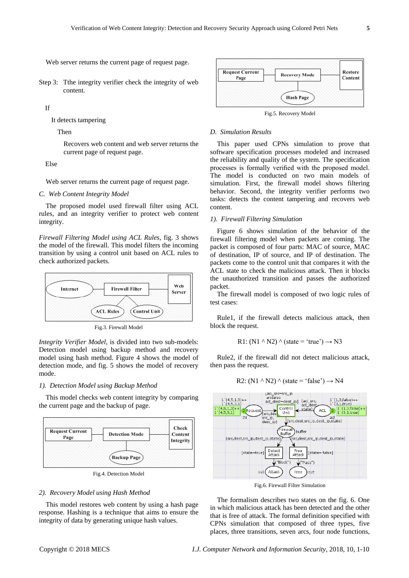Web server returns the current page of request page.

Step 3: Tthe integrity verifier check the integrity of web content.

If

It detects tampering

Then

Recovers web content and web server returns the current page of request page.

Else

Web server returns the current page of request page.

*C. Web Content Integrity Model*

The proposed model used firewall filter using ACL rules, and an integrity verifier to protect web content integrity.

*Firewall Filtering Model using ACL Rules,* fig. 3 shows the model of the firewall. This model filters the incoming transition by using a control unit based on ACL rules to check authorized packets.



Fig.3. Firewall Model

*Integrity Verifier Model,* is divided into two sub-models: Detection model using backup method and recovery model using hash method. Figure 4 shows the model of detection mode, and fig. 5 shows the model of recovery mode.

## *1). Detection Model using Backup Method*

This model checks web content integrity by comparing the current page and the backup of page.



Fig.4. Detection Model

#### *2). Recovery Model using Hash Method*

This model restores web content by using a hash page response. Hashing is a technique that aims to ensure the integrity of data by generating unique hash values.



Fig.5. Recovery Model

#### *D. Simulation Results*

This paper used CPNs simulation to prove that software specification processes modeled and increased the reliability and quality of the system. The specification processes is formally verified with the proposed model. The model is conducted on two main models of simulation. First, the firewall model shows filtering behavior. Second, the integrity verifier performs two tasks: detects the content tampering and recovers web content.

#### *1). Firewall Filtering Simulation*

Figure 6 shows simulation of the behavior of the firewall filtering model when packets are coming. The packet is composed of four parts: MAC of source, MAC of destination, IP of source, and IP of destination. The packets come to the control unit that compares it with the ACL state to check the malicious attack. Then it blocks the unauthorized transition and passes the authorized packet.

The firewall model is composed of two logic rules of test cases:

Rule1, if the firewall detects malicious attack, then block the request.

R1: (N1 
$$
\wedge
$$
 N2)  $\wedge$  (state = 'true')  $\rightarrow$  N3

Rule2, if the firewall did not detect malicious attack, then pass the request.

R2: (N1 
$$
\wedge
$$
 N2)  $\wedge$  (state = 'false')  $\rightarrow$  N4



Fig.6. Firewall Filter Simulation

The formalism describes two states on the fig. 6. One in which malicious attack has been detected and the other that is free of attack. The formal definition specified with CPNs simulation that composed of three types, five places, three transitions, seven arcs, four node functions,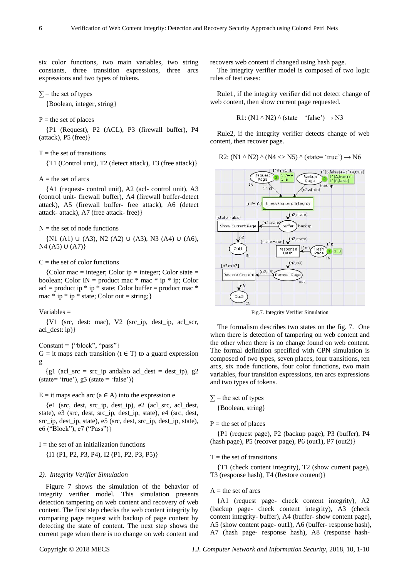six color functions, two main variables, two string constants, three transition expressions, three arcs expressions and two types of tokens.

 $\Sigma$  = the set of types

{Boolean, integer, string}

## $P =$  the set of places

{P1 (Request), P2 (ACL), P3 (firewall buffer), P4 (attack), P5 (free)}

## $T =$  the set of transitions

{T1 (Control unit), T2 (detect attack), T3 (free attack)}

## $A =$  the set of arcs

{A1 (request- control unit), A2 (acl- control unit), A3 (control unit- firewall buffer), A4 (firewall buffer-detect attack), A5 (firewall buffer- free attack), A6 (detect attack- attack), A7 (free attack- free)}

#### $N =$  the set of node functions

{N1 (A1) ∪ (A3), N2 (A2) ∪ (A3), N3 (A4) ∪ (A6), N<sub>4</sub> (A<sub>5</sub>) ∪ (A<sub>7</sub>)}

#### $C =$  the set of color functions

 ${Color mac = integer; Color ip = integer; Color state =}$ boolean; Color IN = product mac  $*$  mac  $*$  ip  $*$  ip; Color  $acl = product$  ip  $*$  ip  $*$  state; Color buffer = product mac  $*$ mac  $*$  ip  $*$  ip  $*$  state; Color out = string;}

#### Variables =

{V1 (src, dest: mac), V2 (src\_ip, dest\_ip, acl\_scr, acl\_dest: ip)}

#### Constant =  $\{``block'', "pass"\}$

 $G =$  it maps each transition ( $t \in T$ ) to a guard expression g

 ${g1}$  (acl\_src = src\_ip andalso acl\_dest = dest\_ip),  $g2$  $(state='true'), g3 (state='false')$ 

## $E =$  it maps each arc (a  $\in$  A) into the expression e

{e1 (src, dest, src\_ip, dest\_ip), e2 (acl\_src, acl\_dest, state), e3 (src, dest, src\_ip, dest\_ip, state), e4 (src, dest, src\_ip, dest\_ip, state), e5 (src, dest, src\_ip, dest\_ip, state), e6 ("Block"), e7 ("Pass")}

#### $I =$  the set of an initialization functions

{I1 (P1, P2, P3, P4), I2 (P1, P2, P3, P5)}

## *2). Integrity Verifier Simulation*

Figure 7 shows the simulation of the behavior of integrity verifier model. This simulation presents detection tampering on web content and recovery of web content. The first step checks the web content integrity by comparing page request with backup of page content by detecting the state of content. The next step shows the current page when there is no change on web content and recovers web content if changed using hash page.

The integrity verifier model is composed of two logic rules of test cases:

Rule1, if the integrity verifier did not detect change of web content, then show current page requested.

$$
R1: (N1 \land N2) \land (state = 'false') \rightarrow N3
$$

Rule2, if the integrity verifier detects change of web content, then recover page.

R2: (N1 
$$
\wedge
$$
 N2)  $\wedge$  (N4  $\langle$  > N5)  $\wedge$  (state= 'true')  $\rightarrow$  N6



Fig.7. Integrity Verifier Simulation

The formalism describes two states on the fig. 7. One when there is detection of tampering on web content and the other when there is no change found on web content. The formal definition specified with CPN simulation is composed of two types, seven places, four transitions, ten arcs, six node functions, four color functions, two main variables, four transition expressions, ten arcs expressions and two types of tokens.

 $\Sigma$  = the set of types

{Boolean, string}

 $P =$  the set of places

{P1 (request page), P2 (backup page), P3 (buffer), P4  $(hash page)$ , P5 (recover page), P6 (out1), P7 (out2)}

#### $T =$  the set of transitions

{T1 (check content integrity), T2 (show current page), T3 (response hash), T4 (Restore content)}

#### $A =$  the set of arcs

{A1 (request page- check content integrity), A2 (backup page- check content integrity), A3 (check content integrity- buffer), A4 (buffer- show content page), A5 (show content page- out1), A6 (buffer- response hash), A7 (hash page- response hash), A8 (response hash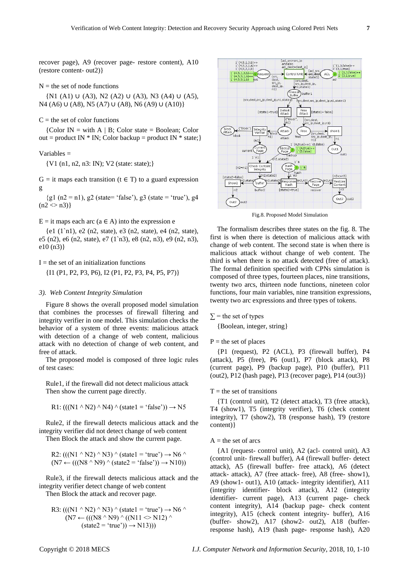recover page), A9 (recover page- restore content), A10 (restore content- out2)}

#### $N =$  the set of node functions

{N1 (A1) ∪ (A3), N2 (A2) ∪ (A3), N3 (A4) ∪ (A5), N4 (A6) ∪ (A8), N5 (A7) ∪ (A8), N6 (A9) ∪ (A10)}

## $C =$  the set of color functions

{Color IN = with A | B; Color state = Boolean; Color out = product IN  $*$  IN; Color backup = product IN  $*$  state;}

#### Variables =

{V1 (n1, n2, n3: IN); V2 (state: state);}

 $G =$  it maps each transition (t  $\in$  T) to a guard expression g

{g1 (n2 = n1), g2 (state= 'false'), g3 (state = 'true'), g4  $(n2 \leq n3)$ 

## $E =$  it maps each arc (a  $\in$  A) into the expression e

{e1 (1`n1), e2 (n2, state), e3 (n2, state), e4 (n2, state), e5 (n2), e6 (n2, state), e7 (1`n3), e8 (n2, n3), e9 (n2, n3), e10 (n3)}

## $I =$  the set of an initialization functions

{I1 (P1, P2, P3, P6), I2 (P1, P2, P3, P4, P5, P7)}

#### *3). Web Content Integrity Simulation*

Figure 8 shows the overall proposed model simulation that combines the processes of firewall filtering and integrity verifier in one model. This simulation checks the behavior of a system of three events: malicious attack with detection of a change of web content, malicious attack with no detection of change of web content, and free of attack.

The proposed model is composed of three logic rules of test cases:

Rule1, if the firewall did not detect malicious attack Then show the current page directly.

$$
R1:(((N1 \land N2) \land N4) \land (state1 = 'false')) \rightarrow N5
$$

Rule2, if the firewall detects malicious attack and the integrity verifier did not detect change of web content Then Block the attack and show the current page.

R2:  $(((N1 \land N2) \land N3) \land (state1 = 'true') \rightarrow N6 \land$  $(N7 \leftarrow (((N8 \ ^N9) \ ^ (state2 = 'false')) \rightarrow N10))$ 

Rule3, if the firewall detects malicious attack and the integrity verifier detect change of web content

Then Block the attack and recover page.

R3: 
$$
((N1 \land N2) \land N3) \land (state1 = 'true') \rightarrow N6 \land
$$
  
\n $(N7 \leftarrow (((N8 \land N9) \land ((N11 \le N12) \land (state2 = 'true')) \rightarrow N13)))$ 



Fig.8. Proposed Model Simulation

The formalism describes three states on the fig. 8. The first is when there is detection of malicious attack with change of web content. The second state is when there is malicious attack without change of web content. The third is when there is no attack detected (free of attack). The formal definition specified with CPNs simulation is composed of three types, fourteen places, nine transitions, twenty two arcs, thirteen node functions, nineteen color functions, four main variables, nine transition expressions, twenty two arc expressions and three types of tokens.

 $\Sigma$  = the set of types

{Boolean, integer, string}

## $P =$  the set of places

{P1 (request), P2 (ACL), P3 (firewall buffer), P4 (attack), P5 (free), P6 (out1), P7 (block attack), P8 (current page), P9 (backup page), P10 (buffer), P11 (out2), P12 (hash page), P13 (recover page), P14 (out3)}

#### $T =$  the set of transitions

{T1 (control unit), T2 (detect attack), T3 (free attack), T4 (show1), T5 (integrity verifier), T6 (check content integrity), T7 (show2), T8 (response hash), T9 (restore content)}

#### $A =$  the set of arcs

{A1 (request- control unit), A2 (acl- control unit), A3 (control unit- firewall buffer), A4 (firewall buffer- detect attack), A5 (firewall buffer- free attack), A6 (detect attack- attack), A7 (free attack- free), A8 (free- show1), A9 (show1- out1), A10 (attack- integrity identifier), A11 (integrity identifier- block attack), A12 (integrity identifier- current page), A13 (current page- check content integrity), A14 (backup page- check content integrity), A15 (check content integrity- buffer), A16 (buffer- show2), A17 (show2- out2), A18 (bufferresponse hash), A19 (hash page- response hash), A20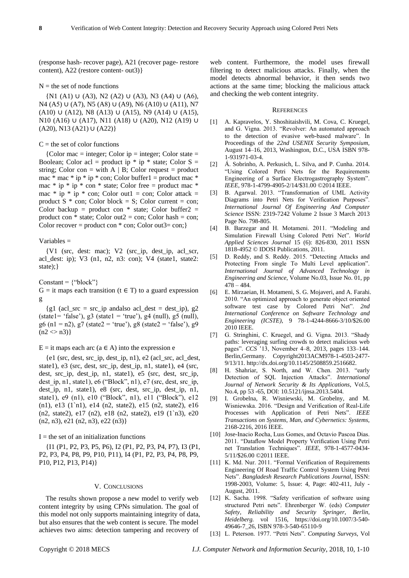(response hash- recover page), A21 (recover page- restore content), A22 (restore content- out3)}

## $N =$  the set of node functions

{N1 (A1) ∪ (A3), N2 (A2) ∪ (A3), N3 (A4) ∪ (A6), N4 (A5) ∪ (A7), N5 (A8) ∪ (A9), N6 (A10) ∪ (A11), N7 (A10) ∪ (A12), N8 (A13) ∪ (A15), N9 (A14) ∪ (A15), N10 (A16) ∪ (A17), N11 (A18) ∪ (A20), N12 (A19) ∪ (A20), N13 (A21) ∪ (A22)}

## $C =$  the set of color functions

{Color mac = integer; Color ip = integer; Color state = Boolean; Color acl = product ip  $*$  ip  $*$  state; Color S = string; Color con = with  $A \mid B$ ; Color request = product mac  $*$  mac  $*$  ip  $*$  ip  $*$  con; Color buffer1 = product mac  $*$ mac  $*$  ip  $*$  ip  $*$  con  $*$  state; Color free = product mac  $*$ mac  $*$  ip  $*$  ip  $*$  con; Color out1 = con; Color attack = product  $S * con$ ; Color block = S; Color current = con; Color backup = product con  $*$  state; Color buffer  $2 =$ product con  $*$  state; Color out  $2 = \text{con}$ ; Color hash  $= \text{con}$ ; Color recover = product con  $*$  con; Color out3= con;}

## Variables =

{V1 (src, dest: mac); V2 (src\_ip, dest\_ip, acl\_scr, acl\_dest: ip); V3 (n1, n2, n3: con); V4 (state1, state2: state);}

 $Constant = {''block'}$ 

 $G =$  it maps each transition (t  $\in$  T) to a guard expression g

{g1 (acl\_src = src\_ip andalso acl\_dest = dest\_ip), g2  $(\text{state1} = \text{`false'}), g3 (\text{state1} = \text{`true'}), g4 (\text{null}), g5 (\text{null}),$ g6 (n1 = n2), g7 (state2 = 'true'), g8 (state2 = 'false'), g9  $(n2 \ll n3)$ 

 $E =$  it maps each arc (a  $\in$  A) into the expression e

 ${e1}$  (src, dest, src ip, dest ip, n1), e2 (acl src, acl dest, state1), e3 (src, dest, src\_ip, dest\_ip, n1, state1), e4 (src, dest, src\_ip, dest\_ip, n1, state1), e5 (src, dest, src\_ip, dest\_ip, n1, state1), e6 ("Block", n1), e7 (src, dest, src\_ip, dest\_ip, n1, state1), e8 (src, dest, src\_ip, dest\_ip, n1, state1), e9 (n1), e10 ("Block", n1), e11 ("Block"), e12 (n1), e13 (1`n1), e14 (n2, state2), e15 (n2, state2), e16 (n2, state2), e17 (n2), e18 (n2, state2), e19 (1`n3), e20 (n2, n3), e21 (n2, n3), e22 (n3)}

 $I =$  the set of an initialization functions

{I1 (P1, P2, P3, P5, P6), I2 (P1, P2, P3, P4, P7), I3 (P1, P2, P3, P4, P8, P9, P10, P11), I4 (P1, P2, P3, P4, P8, P9, P10, P12, P13, P14)}

#### V. CONCLUSIONS

The results shown propose a new model to verify web content integrity by using CPNs simulation. The goal of this model not only supports maintaining integrity of data, but also ensures that the web content is secure. The model achieves two aims: detection tampering and recovery of web content. Furthermore, the model uses firewall filtering to detect malicious attacks. Finally, when the model detects abnormal behavior, it then sends two actions at the same time; blocking the malicious attack and checking the web content integrity.

#### **REFERENCES**

- [1] A. Kapravelos, Y. Shoshitaishvili, M. Cova, C. Kruegel, and G. Vigna. 2013. "Revolver: An automated approach to the detection of evasive web-based malware". In Proceedings of the *22nd USENIX Security Symposium*, August 14–16, 2013, Washington, D.C., USA ISBN 978- 1-931971-03-4.
- [2] Á. Sobrinho, A. Perkusich, L. Silva, and P. Cunha. 2014. "Using Colored Petri Nets for the Requirements Engineering of a Surface Electrogastrography System". *IEEE*, 978-1-4799-4905-2/14/\$31.00 ©2014 IEEE.
- [3] B. Agarwal. 2013. "Transformation of UML Activity Diagrams into Petri Nets for Verification Purposes". *International Journal Of Engineering And Computer Science* ISSN: 2319-7242 Volume 2 Issue 3 March 2013 Page No. 798-805.
- [4] B. Barzegar and H. Motameni. 2011. "Modeling and Simulation Firewall Using Colored Petri Net". *World Applied Sciences Journal* 15 (6): 826-830, 2011 ISSN 1818-4952 © IDOSI Publications, 2011.
- [5] D. Reddy, and S. Reddy. 2015. "Detecting Attacks and Protecting From single To Multi Level application". *International Journal of Advanced Technology in Engineering and Science*, Volume No.03, Issue No. 01, pp 478 – 484.
- [6] E. Mirzaeian, H. Motameni, S. G. Mojaveri, and A. Farahi. 2010. "An optimized approach to generate object oriented software test case by Colored Petri Net". *2nd International Conference on Software Technology and Engineering (ICSTE)*, 9 78-1-4244-8666-3/10/\$26.00 2010 IEEE.
- [7] G. Stringhini, C. Kruegel, and G. Vigna. 2013. "Shady paths: leveraging surfing crowds to detect malicious web pages". *CCS* '13, November 4–8, 2013, pages 133–144. Berlin,Germany. Copyright2013ACM978-1-4503-2477- 9/13/11[. http://dx.doi.org/10.1145/2508859.2516682.](http://dx.doi.org/10.1145/2508859.2516682)
- [8] H. Shahriar, S. North, and W. Chen. 2013. "early Detection of SQL Injection Attacks". *International Journal of Network Security & Its Applications*, Vol.5, No.4, pp 53 -65, DOI: 10.5121/ijnsa.2013.5404.
- [9] I. Grobelna, R. Wisniewski, M. Grobelny, and M. Wisniewska. 2016. "Design and Verification of Real-Life Processes with Application of Petri Nets". *IEEE Transactions on Systems, Man, and Cybernetics: Systems,*  2168-2216, 2016 IEEE.
- [10] Jose-Inacio Rocha, Luıs Gomes, and Octavio Pascoa Dias. 2011. "Dataflow Model Property Verification Using Petri net Translation Techniques". *IEEE*, 978-1-4577-0434- 5/11/\$26.00 ©2011 IEEE.
- [11] K. Md. Nur. 2011. "Formal Verification of Requirements Engineering Of Road Traffic Control System Using Petri Nets". *Bangladesh Research Publications Journal*, ISSN: 1998-2003, Volume: 5, Issue: 4, Page: 402-411, July - August, 2011.
- [12] K. Sacha. 1998. "Safety verification of software using structured Petri nets". Ehrenberger W. (eds) *Computer Safety, Reliability and Security Springer, Berlin, Heidelberg.* vol 1516, [https://doi.org/10.1007/3-540-](https://doi.org/10.1007/3-540-49646-7_26) [49646-7\\_26,](https://doi.org/10.1007/3-540-49646-7_26) ISBN 978-3-540-65110-9
- [13] L. Peterson. 1977. "Petri Nets". *Computing Surveys*, Vol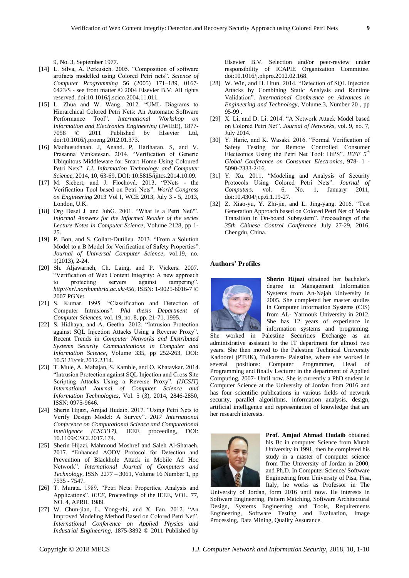9, No. 3, September 1977.

- [14] L. Silva, A. Perkusich. 2005. "Composition of software artifacts modelled using Colored Petri nets". *Science of Computer Programming* 56 (2005) 171–189, 0167- 6423/\$ - see front matter © 2004 Elsevier B.V. All rights reserved. doi:10.1016/j.scico.2004.11.011.
- [15] L. Zhua and W. Wang. 2012. "UML Diagrams to Hierarchical Colored Petri Nets: An Automatic Software Performance Tool". *International Workshop on Information and Electronics Engineering* (IWIEE), 1877- 7058 © 2011 Published by Elsevier Ltd, doi:10.1016/j.proeng.2012.01.373.
- [16] Madhusudanan. J, Anand. P, Hariharan. S, and V. Prasanna Venkatesan. 2014. "Verification of Generic Ubiquitous Middleware for Smart Home Using Coloured Petri Nets". *I.J. Information Technology and Computer Science*, 2014, 10, 63-69, DOI: 10.5815/ijitcs.2014.10.09.
- [17] M. Siebert, and J. Flochová. 2013. "PNets the Verification Tool based on Petri Nets". *World Congress on Engineering* 2013 Vol I, WCE 2013, July 3 - 5, 2013, London, U.K.
- [18] Org Desel J. and JuhG. 2001. "What Is a Petri Net?". *Informal Answers for the Informed Reader of the series Lecture Notes in Computer Science*, Volume 2128, pp 1- 25.
- [19] P. Bon, and S. Collart-Dutilleu. 2013. "From a Solution Model to a B Model for Verification of Safety Properties". *Journal of Universal Computer Science*, vol.19, no. 1(2013), 2-24.
- [20] Sh. Aljawarneh, Ch. Laing, and P. Vickers. 2007. "Verification of Web Content Integrity: A new approach to protecting servers against tampering". *http://nrl.northumbria.ac.uk/456*, ISBN: 1-9025-6016-7 © 2007 PGNet.
- [21] S. Kumar. 1995. "Classification and Detection of Computer Intrusions". *Phd thesis Department of Computer Sciences*, vol. 19, no. 8, pp. 21-71, 1995.
- [22] S. Hidhaya, and A. Geetha. 2012. "Intrusion Protection against SQL Injection Attacks Using a Reverse Proxy". Recent Trends in *Computer Networks and Distributed Systems Security Communications in Computer and Information Science*, Volume 335, pp 252-263, DOI: 10.5121/csit.2012.2314.
- [23] T. Mule, A. Mahajan, S. Kamble, and O. Khatavkar. 2014. "Intrusion Protection against SQL Injection and Cross Site Scripting Attacks Using a Reverse Proxy". *(IJCSIT) International Journal of Computer Science and Information Technologies*, Vol. 5 (3), 2014, 2846-2850, ISSN: 0975-9646.
- [24] Sherin Hijazi, Amjad Hudaib. 2017. "Using Petri Nets to Verify Design Model: A Survey". *2017 International Conference on Computational Science and Computational Intelligence (CSCI'17)*, IEEE proceeding, DOI: 10.1109/CSCI.2017.174.
- [25] Sherin Hijazi, Mahmoud Moshref and Saleh Al-Sharaeh. 2017. "Enhanced AODV Protocol for Detection and Prevention of Blackhole Attack in Mobile Ad Hoc Network". *International Journal of Computers and Technology*, ISSN 2277 – 3061, Volume 16 Number 1, pp 7535 - 7547.
- [26] T. Murata. 1989. "Petri Nets: Properties, Analysis and Applications". *IEEE*, Proceedings of the IEEE, VOL. 77, NO. 4, APRIL 1989.
- [27] W. Chun-jian, L. Yong-zhi, and X. Fan. 2012. "An Improved Modeling Method Based on Colored Petri Net". *International Conference on Applied Physics and Industrial Engineering*, 1875-3892 © 2011 Published by

Elsevier B.V. Selection and/or peer-review under responsibility of ICAPIE Organization Committee. doi:10.1016/j.phpro.2012.02.168.

- [28] W. Win, and H. Htun. 2014. "Detection of SQL Injection Attacks by Combining Static Analysis and Runtime Validation". *International Conference on Advances in Engineering and Technology*, Volume 3, Number 20 , pp 95-99 .
- [29] X. Li, and D. Li. 2014. "A Network Attack Model based on Colored Petri Net". *Journal of Networks*, vol. 9, no. 7, July 2014.
- [30] Y. Harie, and K. Wasaki. 2016. "Formal Verification of Safety Testing for Remote Controlled Consumer Electeonics Using the Petri Net Tool: HiPS". *IEEE 5th Global Conference on Consumer Electronics*, 978- 1 - 5090-2333-2/16.
- [31] Y. Xu. 2011. "Modeling and Analysis of Security Protocols Using Colored Petri Nets". *Journal of Computers*, vol. 6, No. 1, January 2011, doi:10.4304/jcp.6.1.19-27.
- [32] Z. Xiao-yu, Y. Zhi-jie, and L. Jing-yang. 2016. "Test Generation Approach based on Colored Petri Net of Mode Transition in On-board Subsystem". Proceedings of the *35th Chinese Control Conference* July 27-29, 2016, Chengdu, China.

#### **Authors' Profiles**



**Sherin Hijazi** obtained her bachelor's degree in Management Information Systems from An-Najah University in 2005. She completed her master studies in Computer Information Systems (CIS) from AL- Yarmouk University in 2012. She has 12 years of experience in information systems and programing.

She worked in Palestine Securities Exchange as an administrative assistant to the IT department for almost two years. She then moved to the Palestine Technical University Kadoorei (PTUK), Tulkarem- Palestine, where she worked in several positions: Computer Programmer, Head of Programming and finally Lecturer in the department of Applied Computing, 2007- Until now. She is currently a PhD student in Computer Science at the University of Jordan from 2016 and has four scientific publications in various fields of network security, parallel algorithms, information analysis, design, artificial intelligence and representation of knowledge that are her research interests.



**Prof. Amjad Ahmad Hudaib** obtained his Bc in computer Science from Mutah University in 1991, then he completed his study in a master of computer science from The University of Jordan in 2000, and Ph.D. In Computer Science/ Software Engineering from University of Pisa, Pisa, Italy, he works as Professor in The

University of Jordan, form 2016 until now. He interests in Software Engineering, Pattern Matching, Software Architectural Design, Systems Engineering and Tools, Requirements Engineering, Software Testing and Evaluation, Image Processing, Data Mining, Quality Assurance.